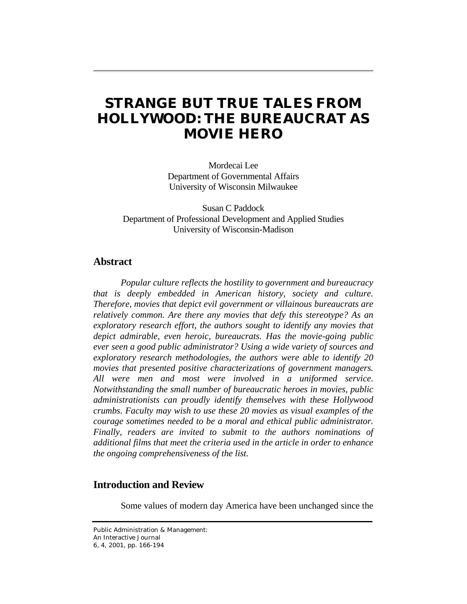# **STRANGE BUT TRUE TALES FROM HOLLYWOOD: THE BUREAUCRAT AS MOVIE HERO**

Mordecai Lee Department of Governmental Affairs University of Wisconsin Milwaukee

Susan C Paddock Department of Professional Development and Applied Studies University of Wisconsin-Madison

# **Abstract**

*Popular culture reflects the hostility to government and bureaucracy that is deeply embedded in American history, society and culture. Therefore, movies that depict evil government or villainous bureaucrats are relatively common. Are there any movies that defy this stereotype? As an exploratory research effort, the authors sought to identify any movies that depict admirable, even heroic, bureaucrats. Has the movie-going public ever seen a good public administrator? Using a wide variety of sources and exploratory research methodologies, the authors were able to identify 20 movies that presented positive characterizations of government managers. All were men and most were involved in a uniformed service. Notwithstanding the small number of bureaucratic heroes in movies, public administrationists can proudly identify themselves with these Hollywood crumbs. Faculty may wish to use these 20 movies as visual examples of the courage sometimes needed to be a moral and ethical public administrator. Finally, readers are invited to submit to the authors nominations of additional films that meet the criteria used in the article in order to enhance the ongoing comprehensiveness of the list.* 

# **Introduction and Review**

Some values of modern day America have been unchanged since the

Public Administration & Management: An Interactive Journal 6, 4, 2001, pp. 166-194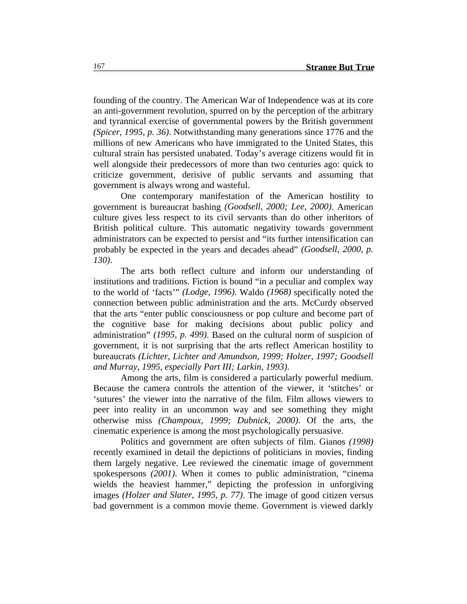founding of the country. The American War of Independence was at its core an anti-government revolution, spurred on by the perception of the arbitrary and tyrannical exercise of governmental powers by the British government *(Spicer, 1995, p. 36)*. Notwithstanding many generations since 1776 and the millions of new Americans who have immigrated to the United States, this cultural strain has persisted unabated. Today's average citizens would fit in well alongside their predecessors of more than two centuries ago: quick to criticize government, derisive of public servants and assuming that government is always wrong and wasteful.

One contemporary manifestation of the American hostility to government is bureaucrat bashing *(Goodsell, 2000; Lee, 2000)*. American culture gives less respect to its civil servants than do other inheritors of British political culture. This automatic negativity towards government administrators can be expected to persist and "its further intensification can probably be expected in the years and decades ahead" *(Goodsell, 2000, p. 130)*.

The arts both reflect culture and inform our understanding of institutions and traditions. Fiction is bound "in a peculiar and complex way to the world of 'facts'" *(Lodge, 1996)*. Waldo *(1968)* specifically noted the connection between public administration and the arts. McCurdy observed that the arts "enter public consciousness or pop culture and become part of the cognitive base for making decisions about public policy and administration" *(1995, p. 499)*. Based on the cultural norm of suspicion of government, it is not surprising that the arts reflect American hostility to bureaucrats *(Lichter, Lichter and Amundson, 1999; Holzer, 1997; Goodsell and Murray, 1995, especially Part III; Larkin, 1993)*.

Among the arts, film is considered a particularly powerful medium. Because the camera controls the attention of the viewer, it 'stitches' or 'sutures' the viewer into the narrative of the film. Film allows viewers to peer into reality in an uncommon way and see something they might otherwise miss *(Champoux, 1999; Dubnick, 2000)*. Of the arts, the cinematic experience is among the most psychologically persuasive.

Politics and government are often subjects of film. Gianos *(1998)* recently examined in detail the depictions of politicians in movies, finding them largely negative. Lee reviewed the cinematic image of government spokespersons *(2001)*. When it comes to public administration, "cinema wields the heaviest hammer," depicting the profession in unforgiving images *(Holzer and Slater, 1995, p. 77)*. The image of good citizen versus bad government is a common movie theme. Government is viewed darkly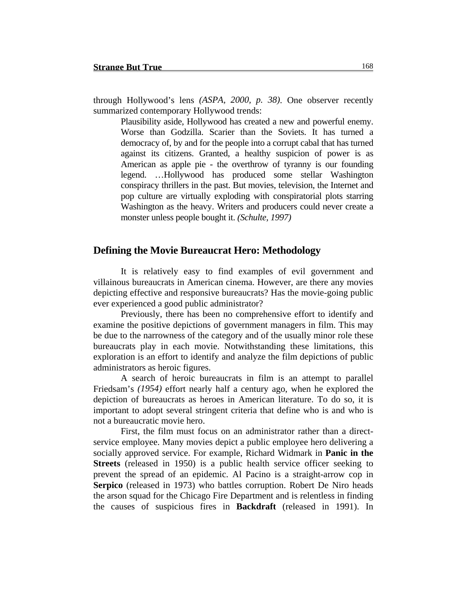through Hollywood's lens *(ASPA, 2000, p. 38)*. One observer recently summarized contemporary Hollywood trends:

Plausibility aside, Hollywood has created a new and powerful enemy. Worse than Godzilla. Scarier than the Soviets. It has turned a democracy of, by and for the people into a corrupt cabal that has turned against its citizens. Granted, a healthy suspicion of power is as American as apple pie - the overthrow of tyranny is our founding legend. …Hollywood has produced some stellar Washington conspiracy thrillers in the past. But movies, television, the Internet and pop culture are virtually exploding with conspiratorial plots starring Washington as the heavy. Writers and producers could never create a monster unless people bought it. *(Schulte, 1997)*

## **Defining the Movie Bureaucrat Hero: Methodology**

It is relatively easy to find examples of evil government and villainous bureaucrats in American cinema. However, are there any movies depicting effective and responsive bureaucrats? Has the movie-going public ever experienced a good public administrator?

Previously, there has been no comprehensive effort to identify and examine the positive depictions of government managers in film. This may be due to the narrowness of the category and of the usually minor role these bureaucrats play in each movie. Notwithstanding these limitations, this exploration is an effort to identify and analyze the film depictions of public administrators as heroic figures.

A search of heroic bureaucrats in film is an attempt to parallel Friedsam's *(1954)* effort nearly half a century ago, when he explored the depiction of bureaucrats as heroes in American literature. To do so, it is important to adopt several stringent criteria that define who is and who is not a bureaucratic movie hero.

First, the film must focus on an administrator rather than a directservice employee. Many movies depict a public employee hero delivering a socially approved service. For example, Richard Widmark in **Panic in the Streets** (released in 1950) is a public health service officer seeking to prevent the spread of an epidemic. Al Pacino is a straight-arrow cop in **Serpico** (released in 1973) who battles corruption. Robert De Niro heads the arson squad for the Chicago Fire Department and is relentless in finding the causes of suspicious fires in **Backdraft** (released in 1991). In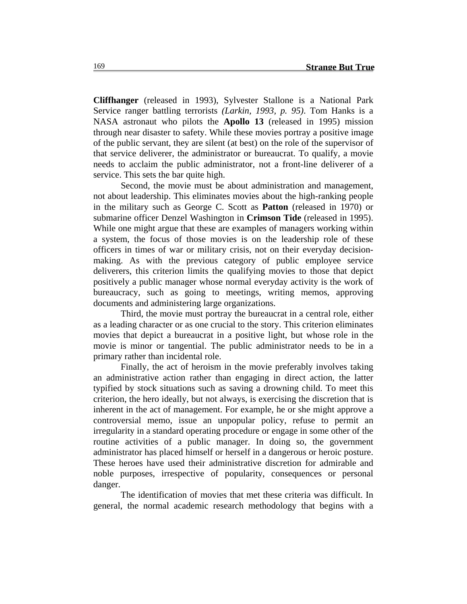**Cliffhanger** (released in 1993), Sylvester Stallone is a National Park Service ranger battling terrorists *(Larkin, 1993, p. 95)*. Tom Hanks is a NASA astronaut who pilots the **Apollo 13** (released in 1995) mission through near disaster to safety. While these movies portray a positive image of the public servant, they are silent (at best) on the role of the supervisor of that service deliverer, the administrator or bureaucrat. To qualify, a movie needs to acclaim the public administrator, not a front-line deliverer of a service. This sets the bar quite high.

Second, the movie must be about administration and management, not about leadership. This eliminates movies about the high-ranking people in the military such as George C. Scott as **Patton** (released in 1970) or submarine officer Denzel Washington in **Crimson Tide** (released in 1995). While one might argue that these are examples of managers working within a system, the focus of those movies is on the leadership role of these officers in times of war or military crisis, not on their everyday decisionmaking. As with the previous category of public employee service deliverers, this criterion limits the qualifying movies to those that depict positively a public manager whose normal everyday activity is the work of bureaucracy, such as going to meetings, writing memos, approving documents and administering large organizations.

Third, the movie must portray the bureaucrat in a central role, either as a leading character or as one crucial to the story. This criterion eliminates movies that depict a bureaucrat in a positive light, but whose role in the movie is minor or tangential. The public administrator needs to be in a primary rather than incidental role.

Finally, the act of heroism in the movie preferably involves taking an administrative action rather than engaging in direct action, the latter typified by stock situations such as saving a drowning child. To meet this criterion, the hero ideally, but not always, is exercising the discretion that is inherent in the act of management. For example, he or she might approve a controversial memo, issue an unpopular policy, refuse to permit an irregularity in a standard operating procedure or engage in some other of the routine activities of a public manager. In doing so, the government administrator has placed himself or herself in a dangerous or heroic posture. These heroes have used their administrative discretion for admirable and noble purposes, irrespective of popularity, consequences or personal danger.

The identification of movies that met these criteria was difficult. In general, the normal academic research methodology that begins with a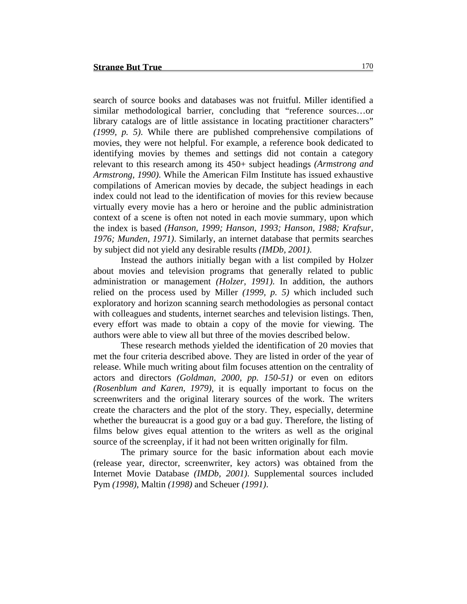search of source books and databases was not fruitful. Miller identified a similar methodological barrier, concluding that "reference sources…or library catalogs are of little assistance in locating practitioner characters" *(1999, p. 5)*. While there are published comprehensive compilations of movies, they were not helpful. For example, a reference book dedicated to identifying movies by themes and settings did not contain a category relevant to this research among its 450+ subject headings *(Armstrong and Armstrong, 1990)*. While the American Film Institute has issued exhaustive compilations of American movies by decade, the subject headings in each index could not lead to the identification of movies for this review because virtually every movie has a hero or heroine and the public administration context of a scene is often not noted in each movie summary, upon which the index is based *(Hanson, 1999; Hanson, 1993; Hanson, 1988; Krafsur, 1976; Munden, 1971)*. Similarly, an internet database that permits searches by subject did not yield any desirable results *(IMDb, 2001)*.

Instead the authors initially began with a list compiled by Holzer about movies and television programs that generally related to public administration or management *(Holzer, 1991)*. In addition, the authors relied on the process used by Miller *(1999, p. 5)* which included such exploratory and horizon scanning search methodologies as personal contact with colleagues and students, internet searches and television listings. Then, every effort was made to obtain a copy of the movie for viewing. The authors were able to view all but three of the movies described below.

These research methods yielded the identification of 20 movies that met the four criteria described above. They are listed in order of the year of release. While much writing about film focuses attention on the centrality of actors and directors *(Goldman, 2000, pp. 150-51)* or even on editors *(Rosenblum and Karen, 1979)*, it is equally important to focus on the screenwriters and the original literary sources of the work. The writers create the characters and the plot of the story. They, especially, determine whether the bureaucrat is a good guy or a bad guy. Therefore, the listing of films below gives equal attention to the writers as well as the original source of the screenplay, if it had not been written originally for film.

The primary source for the basic information about each movie (release year, director, screenwriter, key actors) was obtained from the Internet Movie Database *(IMDb, 2001)*. Supplemental sources included Pym *(1998)*, Maltin *(1998)* and Scheuer *(1991)*.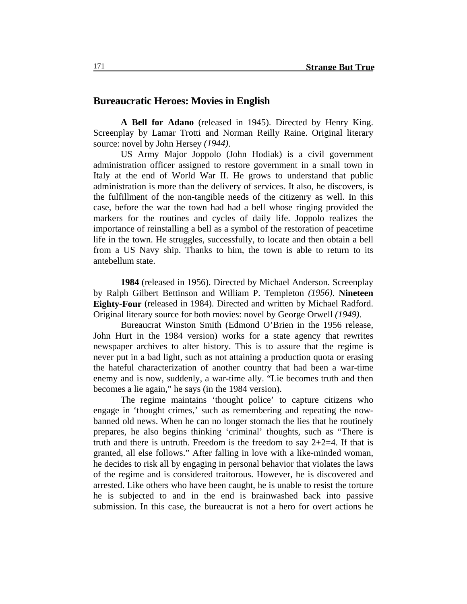#### **Bureaucratic Heroes: Movies in English**

**A Bell for Adano** (released in 1945). Directed by Henry King. Screenplay by Lamar Trotti and Norman Reilly Raine. Original literary source: novel by John Hersey *(1944)*.

US Army Major Joppolo (John Hodiak) is a civil government administration officer assigned to restore government in a small town in Italy at the end of World War II. He grows to understand that public administration is more than the delivery of services. It also, he discovers, is the fulfillment of the non-tangible needs of the citizenry as well. In this case, before the war the town had had a bell whose ringing provided the markers for the routines and cycles of daily life. Joppolo realizes the importance of reinstalling a bell as a symbol of the restoration of peacetime life in the town. He struggles, successfully, to locate and then obtain a bell from a US Navy ship. Thanks to him, the town is able to return to its antebellum state.

**1984** (released in 1956). Directed by Michael Anderson. Screenplay by Ralph Gilbert Bettinson and William P. Templeton *(1956)*. **Nineteen Eighty-Four** (released in 1984). Directed and written by Michael Radford. Original literary source for both movies: novel by George Orwell *(1949)*.

Bureaucrat Winston Smith (Edmond O'Brien in the 1956 release, John Hurt in the 1984 version) works for a state agency that rewrites newspaper archives to alter history. This is to assure that the regime is never put in a bad light, such as not attaining a production quota or erasing the hateful characterization of another country that had been a war-time enemy and is now, suddenly, a war-time ally. "Lie becomes truth and then becomes a lie again," he says (in the 1984 version).

The regime maintains 'thought police' to capture citizens who engage in 'thought crimes,' such as remembering and repeating the nowbanned old news. When he can no longer stomach the lies that he routinely prepares, he also begins thinking 'criminal' thoughts, such as "There is truth and there is untruth. Freedom is the freedom to say  $2+2=4$ . If that is granted, all else follows." After falling in love with a like-minded woman, he decides to risk all by engaging in personal behavior that violates the laws of the regime and is considered traitorous. However, he is discovered and arrested. Like others who have been caught, he is unable to resist the torture he is subjected to and in the end is brainwashed back into passive submission. In this case, the bureaucrat is not a hero for overt actions he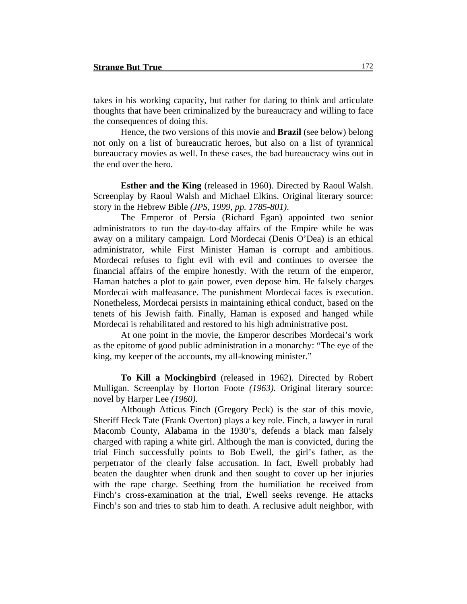takes in his working capacity, but rather for daring to think and articulate thoughts that have been criminalized by the bureaucracy and willing to face the consequences of doing this.

Hence, the two versions of this movie and **Brazil** (see below) belong not only on a list of bureaucratic heroes, but also on a list of tyrannical bureaucracy movies as well. In these cases, the bad bureaucracy wins out in the end over the hero.

**Esther and the King** (released in 1960). Directed by Raoul Walsh. Screenplay by Raoul Walsh and Michael Elkins. Original literary source: story in the Hebrew Bible *(JPS, 1999, pp. 1785-801)*.

The Emperor of Persia (Richard Egan) appointed two senior administrators to run the day-to-day affairs of the Empire while he was away on a military campaign. Lord Mordecai (Denis O'Dea) is an ethical administrator, while First Minister Haman is corrupt and ambitious. Mordecai refuses to fight evil with evil and continues to oversee the financial affairs of the empire honestly. With the return of the emperor, Haman hatches a plot to gain power, even depose him. He falsely charges Mordecai with malfeasance. The punishment Mordecai faces is execution. Nonetheless, Mordecai persists in maintaining ethical conduct, based on the tenets of his Jewish faith. Finally, Haman is exposed and hanged while Mordecai is rehabilitated and restored to his high administrative post.

At one point in the movie, the Emperor describes Mordecai's work as the epitome of good public administration in a monarchy: "The eye of the king, my keeper of the accounts, my all-knowing minister."

**To Kill a Mockingbird** (released in 1962). Directed by Robert Mulligan. Screenplay by Horton Foote *(1963)*. Original literary source: novel by Harper Lee *(1960)*.

Although Atticus Finch (Gregory Peck) is the star of this movie, Sheriff Heck Tate (Frank Overton) plays a key role. Finch, a lawyer in rural Macomb County, Alabama in the 1930's, defends a black man falsely charged with raping a white girl. Although the man is convicted, during the trial Finch successfully points to Bob Ewell, the girl's father, as the perpetrator of the clearly false accusation. In fact, Ewell probably had beaten the daughter when drunk and then sought to cover up her injuries with the rape charge. Seething from the humiliation he received from Finch's cross-examination at the trial, Ewell seeks revenge. He attacks Finch's son and tries to stab him to death. A reclusive adult neighbor, with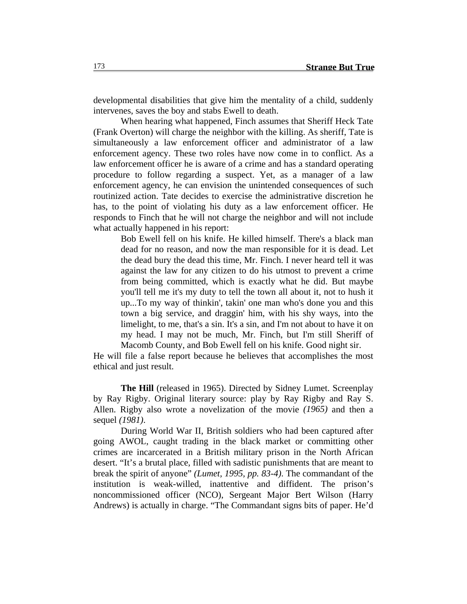developmental disabilities that give him the mentality of a child, suddenly intervenes, saves the boy and stabs Ewell to death.

When hearing what happened, Finch assumes that Sheriff Heck Tate (Frank Overton) will charge the neighbor with the killing. As sheriff, Tate is simultaneously a law enforcement officer and administrator of a law enforcement agency. These two roles have now come in to conflict. As a law enforcement officer he is aware of a crime and has a standard operating procedure to follow regarding a suspect. Yet, as a manager of a law enforcement agency, he can envision the unintended consequences of such routinized action. Tate decides to exercise the administrative discretion he has, to the point of violating his duty as a law enforcement officer. He responds to Finch that he will not charge the neighbor and will not include what actually happened in his report:

Bob Ewell fell on his knife. He killed himself. There's a black man dead for no reason, and now the man responsible for it is dead. Let the dead bury the dead this time, Mr. Finch. I never heard tell it was against the law for any citizen to do his utmost to prevent a crime from being committed, which is exactly what he did. But maybe you'll tell me it's my duty to tell the town all about it, not to hush it up...To my way of thinkin', takin' one man who's done you and this town a big service, and draggin' him, with his shy ways, into the limelight, to me, that's a sin. It's a sin, and I'm not about to have it on my head. I may not be much, Mr. Finch, but I'm still Sheriff of Macomb County, and Bob Ewell fell on his knife. Good night sir.

He will file a false report because he believes that accomplishes the most ethical and just result.

**The Hill** (released in 1965). Directed by Sidney Lumet. Screenplay by Ray Rigby. Original literary source: play by Ray Rigby and Ray S. Allen. Rigby also wrote a novelization of the movie *(1965)* and then a sequel *(1981)*.

During World War II, British soldiers who had been captured after going AWOL, caught trading in the black market or committing other crimes are incarcerated in a British military prison in the North African desert. "It's a brutal place, filled with sadistic punishments that are meant to break the spirit of anyone" *(Lumet, 1995, pp. 83-4)*. The commandant of the institution is weak-willed, inattentive and diffident. The prison's noncommissioned officer (NCO), Sergeant Major Bert Wilson (Harry Andrews) is actually in charge. "The Commandant signs bits of paper. He'd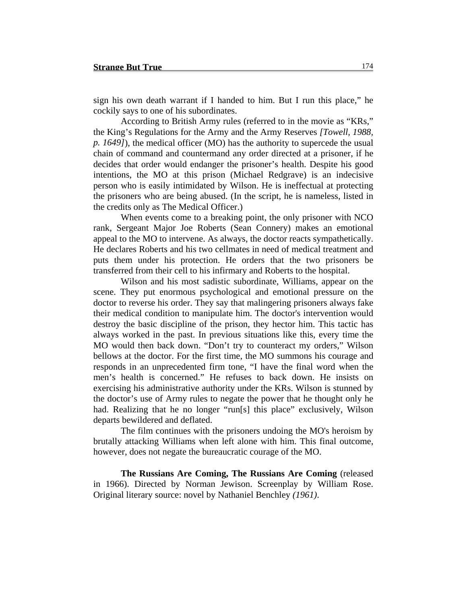sign his own death warrant if I handed to him. But I run this place," he cockily says to one of his subordinates.

According to British Army rules (referred to in the movie as "KRs," the King's Regulations for the Army and the Army Reserves *[Towell, 1988, p. 1649]*), the medical officer (MO) has the authority to supercede the usual chain of command and countermand any order directed at a prisoner, if he decides that order would endanger the prisoner's health. Despite his good intentions, the MO at this prison (Michael Redgrave) is an indecisive person who is easily intimidated by Wilson. He is ineffectual at protecting the prisoners who are being abused. (In the script, he is nameless, listed in the credits only as The Medical Officer.)

When events come to a breaking point, the only prisoner with NCO rank, Sergeant Major Joe Roberts (Sean Connery) makes an emotional appeal to the MO to intervene. As always, the doctor reacts sympathetically. He declares Roberts and his two cellmates in need of medical treatment and puts them under his protection. He orders that the two prisoners be transferred from their cell to his infirmary and Roberts to the hospital.

Wilson and his most sadistic subordinate, Williams, appear on the scene. They put enormous psychological and emotional pressure on the doctor to reverse his order. They say that malingering prisoners always fake their medical condition to manipulate him. The doctor's intervention would destroy the basic discipline of the prison, they hector him. This tactic has always worked in the past. In previous situations like this, every time the MO would then back down. "Don't try to counteract my orders," Wilson bellows at the doctor. For the first time, the MO summons his courage and responds in an unprecedented firm tone, "I have the final word when the men's health is concerned." He refuses to back down. He insists on exercising his administrative authority under the KRs. Wilson is stunned by the doctor's use of Army rules to negate the power that he thought only he had. Realizing that he no longer "run[s] this place" exclusively, Wilson departs bewildered and deflated.

The film continues with the prisoners undoing the MO's heroism by brutally attacking Williams when left alone with him. This final outcome, however, does not negate the bureaucratic courage of the MO.

**The Russians Are Coming, The Russians Are Coming** (released in 1966). Directed by Norman Jewison. Screenplay by William Rose. Original literary source: novel by Nathaniel Benchley *(1961)*.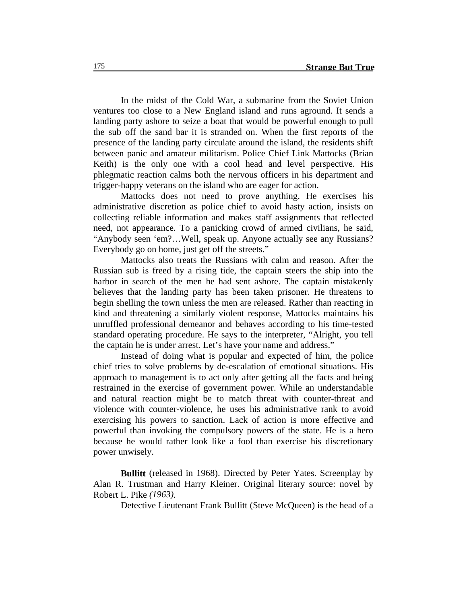In the midst of the Cold War, a submarine from the Soviet Union ventures too close to a New England island and runs aground. It sends a landing party ashore to seize a boat that would be powerful enough to pull the sub off the sand bar it is stranded on. When the first reports of the presence of the landing party circulate around the island, the residents shift between panic and amateur militarism. Police Chief Link Mattocks (Brian Keith) is the only one with a cool head and level perspective. His phlegmatic reaction calms both the nervous officers in his department and trigger-happy veterans on the island who are eager for action.

Mattocks does not need to prove anything. He exercises his administrative discretion as police chief to avoid hasty action, insists on collecting reliable information and makes staff assignments that reflected need, not appearance. To a panicking crowd of armed civilians, he said, "Anybody seen 'em?…Well, speak up. Anyone actually see any Russians? Everybody go on home, just get off the streets."

Mattocks also treats the Russians with calm and reason. After the Russian sub is freed by a rising tide, the captain steers the ship into the harbor in search of the men he had sent ashore. The captain mistakenly believes that the landing party has been taken prisoner. He threatens to begin shelling the town unless the men are released. Rather than reacting in kind and threatening a similarly violent response, Mattocks maintains his unruffled professional demeanor and behaves according to his time-tested standard operating procedure. He says to the interpreter, "Alright, you tell the captain he is under arrest. Let's have your name and address."

Instead of doing what is popular and expected of him, the police chief tries to solve problems by de-escalation of emotional situations. His approach to management is to act only after getting all the facts and being restrained in the exercise of government power. While an understandable and natural reaction might be to match threat with counter-threat and violence with counter-violence, he uses his administrative rank to avoid exercising his powers to sanction. Lack of action is more effective and powerful than invoking the compulsory powers of the state. He is a hero because he would rather look like a fool than exercise his discretionary power unwisely.

**Bullitt** (released in 1968). Directed by Peter Yates. Screenplay by Alan R. Trustman and Harry Kleiner. Original literary source: novel by Robert L. Pike *(1963)*.

Detective Lieutenant Frank Bullitt (Steve McQueen) is the head of a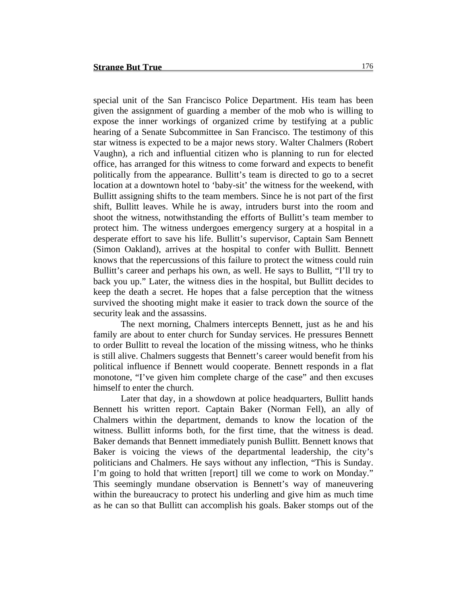special unit of the San Francisco Police Department. His team has been given the assignment of guarding a member of the mob who is willing to expose the inner workings of organized crime by testifying at a public hearing of a Senate Subcommittee in San Francisco. The testimony of this star witness is expected to be a major news story. Walter Chalmers (Robert Vaughn), a rich and influential citizen who is planning to run for elected office, has arranged for this witness to come forward and expects to benefit politically from the appearance. Bullitt's team is directed to go to a secret location at a downtown hotel to 'baby-sit' the witness for the weekend, with Bullitt assigning shifts to the team members. Since he is not part of the first shift, Bullitt leaves. While he is away, intruders burst into the room and shoot the witness, notwithstanding the efforts of Bullitt's team member to protect him. The witness undergoes emergency surgery at a hospital in a desperate effort to save his life. Bullitt's supervisor, Captain Sam Bennett (Simon Oakland), arrives at the hospital to confer with Bullitt. Bennett knows that the repercussions of this failure to protect the witness could ruin Bullitt's career and perhaps his own, as well. He says to Bullitt, "I'll try to back you up." Later, the witness dies in the hospital, but Bullitt decides to keep the death a secret. He hopes that a false perception that the witness survived the shooting might make it easier to track down the source of the security leak and the assassins.

The next morning, Chalmers intercepts Bennett, just as he and his family are about to enter church for Sunday services. He pressures Bennett to order Bullitt to reveal the location of the missing witness, who he thinks is still alive. Chalmers suggests that Bennett's career would benefit from his political influence if Bennett would cooperate. Bennett responds in a flat monotone, "I've given him complete charge of the case" and then excuses himself to enter the church.

Later that day, in a showdown at police headquarters, Bullitt hands Bennett his written report. Captain Baker (Norman Fell), an ally of Chalmers within the department, demands to know the location of the witness. Bullitt informs both, for the first time, that the witness is dead. Baker demands that Bennett immediately punish Bullitt. Bennett knows that Baker is voicing the views of the departmental leadership, the city's politicians and Chalmers. He says without any inflection, "This is Sunday. I'm going to hold that written [report] till we come to work on Monday." This seemingly mundane observation is Bennett's way of maneuvering within the bureaucracy to protect his underling and give him as much time as he can so that Bullitt can accomplish his goals. Baker stomps out of the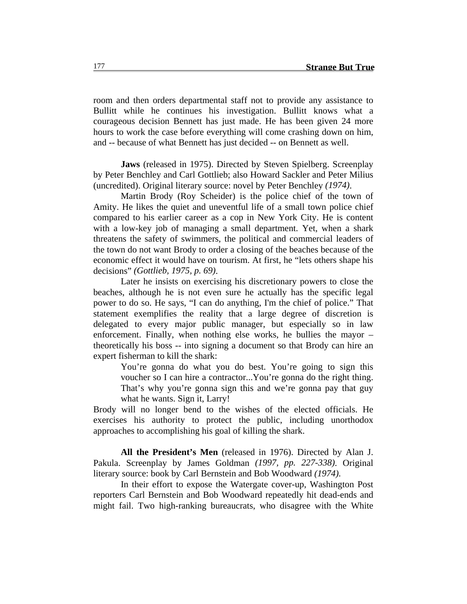room and then orders departmental staff not to provide any assistance to Bullitt while he continues his investigation. Bullitt knows what a courageous decision Bennett has just made. He has been given 24 more hours to work the case before everything will come crashing down on him, and -- because of what Bennett has just decided -- on Bennett as well.

**Jaws** (released in 1975). Directed by Steven Spielberg. Screenplay by Peter Benchley and Carl Gottlieb; also Howard Sackler and Peter Milius (uncredited). Original literary source: novel by Peter Benchley *(1974)*.

Martin Brody (Roy Scheider) is the police chief of the town of Amity. He likes the quiet and uneventful life of a small town police chief compared to his earlier career as a cop in New York City. He is content with a low-key job of managing a small department. Yet, when a shark threatens the safety of swimmers, the political and commercial leaders of the town do not want Brody to order a closing of the beaches because of the economic effect it would have on tourism. At first, he "lets others shape his decisions" *(Gottlieb, 1975, p. 69)*.

Later he insists on exercising his discretionary powers to close the beaches, although he is not even sure he actually has the specific legal power to do so. He says, "I can do anything, I'm the chief of police." That statement exemplifies the reality that a large degree of discretion is delegated to every major public manager, but especially so in law enforcement. Finally, when nothing else works, he bullies the mayor – theoretically his boss -- into signing a document so that Brody can hire an expert fisherman to kill the shark:

You're gonna do what you do best. You're going to sign this voucher so I can hire a contractor...You're gonna do the right thing. That's why you're gonna sign this and we're gonna pay that guy what he wants. Sign it, Larry!

Brody will no longer bend to the wishes of the elected officials. He exercises his authority to protect the public, including unorthodox approaches to accomplishing his goal of killing the shark.

**All the President's Men** (released in 1976). Directed by Alan J. Pakula. Screenplay by James Goldman *(1997, pp. 227-338)*. Original literary source: book by Carl Bernstein and Bob Woodward *(1974)*.

In their effort to expose the Watergate cover-up, Washington Post reporters Carl Bernstein and Bob Woodward repeatedly hit dead-ends and might fail. Two high-ranking bureaucrats, who disagree with the White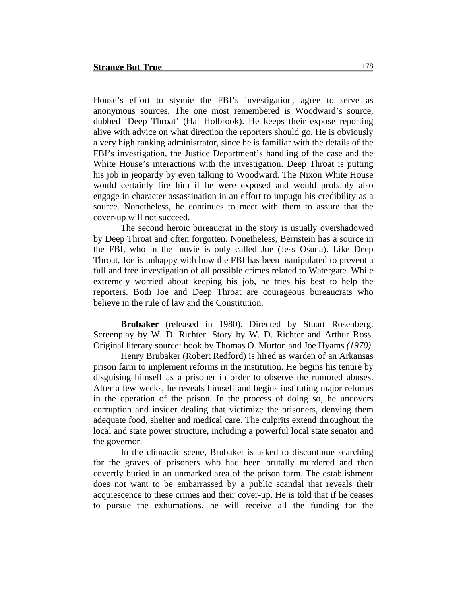House's effort to stymie the FBI's investigation, agree to serve as anonymous sources. The one most remembered is Woodward's source, dubbed 'Deep Throat' (Hal Holbrook). He keeps their expose reporting alive with advice on what direction the reporters should go. He is obviously a very high ranking administrator, since he is familiar with the details of the FBI's investigation, the Justice Department's handling of the case and the White House's interactions with the investigation. Deep Throat is putting his job in jeopardy by even talking to Woodward. The Nixon White House would certainly fire him if he were exposed and would probably also engage in character assassination in an effort to impugn his credibility as a source. Nonetheless, he continues to meet with them to assure that the cover-up will not succeed.

The second heroic bureaucrat in the story is usually overshadowed by Deep Throat and often forgotten. Nonetheless, Bernstein has a source in the FBI, who in the movie is only called Joe (Jess Osuna). Like Deep Throat, Joe is unhappy with how the FBI has been manipulated to prevent a full and free investigation of all possible crimes related to Watergate. While extremely worried about keeping his job, he tries his best to help the reporters. Both Joe and Deep Throat are courageous bureaucrats who believe in the rule of law and the Constitution.

**Brubaker** (released in 1980). Directed by Stuart Rosenberg. Screenplay by W. D. Richter. Story by W. D. Richter and Arthur Ross. Original literary source: book by Thomas O. Murton and Joe Hyams *(1970)*.

Henry Brubaker (Robert Redford) is hired as warden of an Arkansas prison farm to implement reforms in the institution. He begins his tenure by disguising himself as a prisoner in order to observe the rumored abuses. After a few weeks, he reveals himself and begins instituting major reforms in the operation of the prison. In the process of doing so, he uncovers corruption and insider dealing that victimize the prisoners, denying them adequate food, shelter and medical care. The culprits extend throughout the local and state power structure, including a powerful local state senator and the governor.

In the climactic scene, Brubaker is asked to discontinue searching for the graves of prisoners who had been brutally murdered and then covertly buried in an unmarked area of the prison farm. The establishment does not want to be embarrassed by a public scandal that reveals their acquiescence to these crimes and their cover-up. He is told that if he ceases to pursue the exhumations, he will receive all the funding for the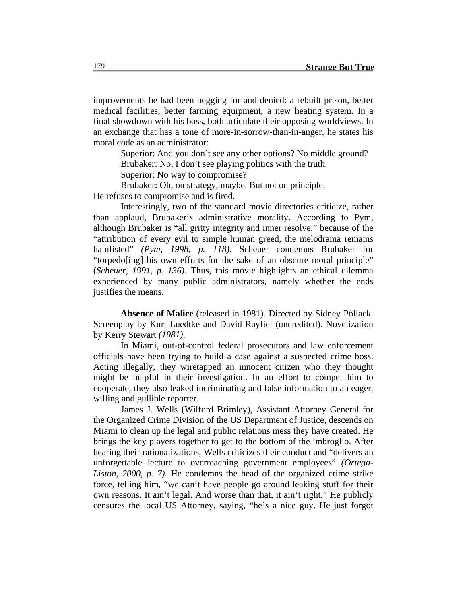improvements he had been begging for and denied: a rebuilt prison, better medical facilities, better farming equipment, a new heating system. In a final showdown with his boss, both articulate their opposing worldviews. In an exchange that has a tone of more-in-sorrow-than-in-anger, he states his moral code as an administrator:

Superior: And you don't see any other options? No middle ground? Brubaker: No, I don't see playing politics with the truth.

Superior: No way to compromise?

Brubaker: Oh, on strategy, maybe. But not on principle.

He refuses to compromise and is fired.

Interestingly, two of the standard movie directories criticize, rather than applaud, Brubaker's administrative morality. According to Pym, although Brubaker is "all gritty integrity and inner resolve," because of the "attribution of every evil to simple human greed, the melodrama remains hamfisted" *(Pym, 1998, p. 118)*. Scheuer condemns Brubaker for "torpedo[ing] his own efforts for the sake of an obscure moral principle" (*Scheuer, 1991, p. 136)*. Thus, this movie highlights an ethical dilemma experienced by many public administrators, namely whether the ends justifies the means.

**Absence of Malice** (released in 1981). Directed by Sidney Pollack. Screenplay by Kurt Luedtke and David Rayfiel (uncredited). Novelization by Kerry Stewart *(1981)*.

In Miami, out-of-control federal prosecutors and law enforcement officials have been trying to build a case against a suspected crime boss. Acting illegally, they wiretapped an innocent citizen who they thought might be helpful in their investigation. In an effort to compel him to cooperate, they also leaked incriminating and false information to an eager, willing and gullible reporter.

James J. Wells (Wilford Brimley), Assistant Attorney General for the Organized Crime Division of the US Department of Justice, descends on Miami to clean up the legal and public relations mess they have created. He brings the key players together to get to the bottom of the imbroglio. After hearing their rationalizations, Wells criticizes their conduct and "delivers an unforgettable lecture to overreaching government employees" *(Ortega-Liston, 2000, p. 7)*. He condemns the head of the organized crime strike force, telling him, "we can't have people go around leaking stuff for their own reasons. It ain't legal. And worse than that, it ain't right." He publicly censures the local US Attorney, saying, "he's a nice guy. He just forgot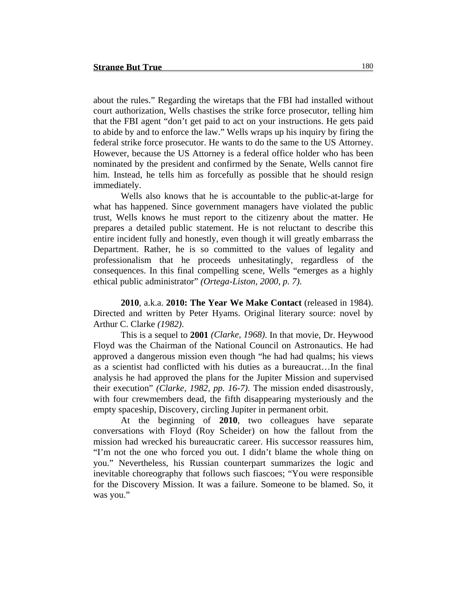about the rules." Regarding the wiretaps that the FBI had installed without court authorization, Wells chastises the strike force prosecutor, telling him that the FBI agent "don't get paid to act on your instructions. He gets paid to abide by and to enforce the law." Wells wraps up his inquiry by firing the federal strike force prosecutor. He wants to do the same to the US Attorney. However, because the US Attorney is a federal office holder who has been nominated by the president and confirmed by the Senate, Wells cannot fire him. Instead, he tells him as forcefully as possible that he should resign immediately.

Wells also knows that he is accountable to the public-at-large for what has happened. Since government managers have violated the public trust, Wells knows he must report to the citizenry about the matter. He prepares a detailed public statement. He is not reluctant to describe this entire incident fully and honestly, even though it will greatly embarrass the Department. Rather, he is so committed to the values of legality and professionalism that he proceeds unhesitatingly, regardless of the consequences. In this final compelling scene, Wells "emerges as a highly ethical public administrator" *(Ortega-Liston, 2000, p. 7)*.

**2010**, a.k.a. **2010: The Year We Make Contact** (released in 1984). Directed and written by Peter Hyams. Original literary source: novel by Arthur C. Clarke *(1982)*.

This is a sequel to **2001** *(Clarke, 1968)*. In that movie, Dr. Heywood Floyd was the Chairman of the National Council on Astronautics. He had approved a dangerous mission even though "he had had qualms; his views as a scientist had conflicted with his duties as a bureaucrat…In the final analysis he had approved the plans for the Jupiter Mission and supervised their execution" *(Clarke, 1982, pp. 16-7)*. The mission ended disastrously, with four crewmembers dead, the fifth disappearing mysteriously and the empty spaceship, Discovery, circling Jupiter in permanent orbit.

At the beginning of **2010**, two colleagues have separate conversations with Floyd (Roy Scheider) on how the fallout from the mission had wrecked his bureaucratic career. His successor reassures him, "I'm not the one who forced you out. I didn't blame the whole thing on you." Nevertheless, his Russian counterpart summarizes the logic and inevitable choreography that follows such fiascoes; "You were responsible for the Discovery Mission. It was a failure. Someone to be blamed. So, it was you."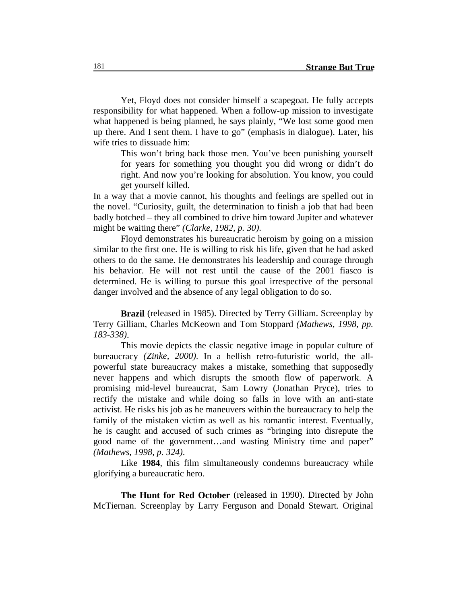Yet, Floyd does not consider himself a scapegoat. He fully accepts responsibility for what happened. When a follow-up mission to investigate what happened is being planned, he says plainly, "We lost some good men up there. And I sent them. I have to go" (emphasis in dialogue). Later, his wife tries to dissuade him:

This won't bring back those men. You've been punishing yourself for years for something you thought you did wrong or didn't do right. And now you're looking for absolution. You know, you could get yourself killed.

In a way that a movie cannot, his thoughts and feelings are spelled out in the novel. "Curiosity, guilt, the determination to finish a job that had been badly botched – they all combined to drive him toward Jupiter and whatever might be waiting there" *(Clarke, 1982, p. 30)*.

Floyd demonstrates his bureaucratic heroism by going on a mission similar to the first one. He is willing to risk his life, given that he had asked others to do the same. He demonstrates his leadership and courage through his behavior. He will not rest until the cause of the 2001 fiasco is determined. He is willing to pursue this goal irrespective of the personal danger involved and the absence of any legal obligation to do so.

**Brazil** (released in 1985). Directed by Terry Gilliam. Screenplay by Terry Gilliam, Charles McKeown and Tom Stoppard *(Mathews, 1998, pp. 183-338)*.

This movie depicts the classic negative image in popular culture of bureaucracy *(Zinke, 2000)*. In a hellish retro-futuristic world, the allpowerful state bureaucracy makes a mistake, something that supposedly never happens and which disrupts the smooth flow of paperwork. A promising mid-level bureaucrat, Sam Lowry (Jonathan Pryce), tries to rectify the mistake and while doing so falls in love with an anti-state activist. He risks his job as he maneuvers within the bureaucracy to help the family of the mistaken victim as well as his romantic interest. Eventually, he is caught and accused of such crimes as "bringing into disrepute the good name of the government…and wasting Ministry time and paper" *(Mathews, 1998, p. 324)*.

Like **1984**, this film simultaneously condemns bureaucracy while glorifying a bureaucratic hero.

**The Hunt for Red October** (released in 1990). Directed by John McTiernan. Screenplay by Larry Ferguson and Donald Stewart. Original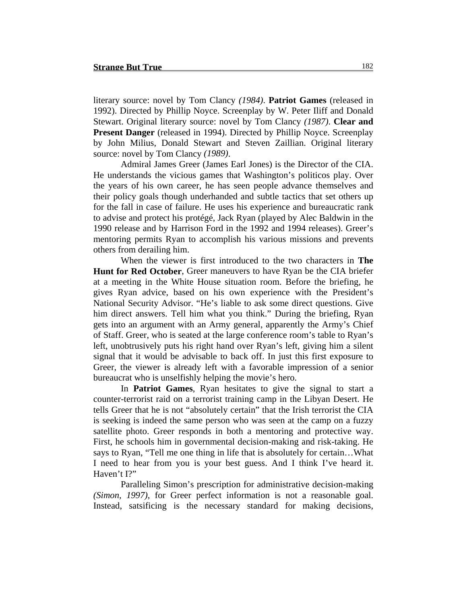literary source: novel by Tom Clancy *(1984)*. **Patriot Games** (released in 1992). Directed by Phillip Noyce. Screenplay by W. Peter Iliff and Donald Stewart. Original literary source: novel by Tom Clancy *(1987)*. **Clear and Present Danger** (released in 1994). Directed by Phillip Noyce. Screenplay by John Milius, Donald Stewart and Steven Zaillian. Original literary source: novel by Tom Clancy *(1989)*.

Admiral James Greer (James Earl Jones) is the Director of the CIA. He understands the vicious games that Washington's politicos play. Over the years of his own career, he has seen people advance themselves and their policy goals though underhanded and subtle tactics that set others up for the fall in case of failure. He uses his experience and bureaucratic rank to advise and protect his protégé, Jack Ryan (played by Alec Baldwin in the 1990 release and by Harrison Ford in the 1992 and 1994 releases). Greer's mentoring permits Ryan to accomplish his various missions and prevents others from derailing him.

When the viewer is first introduced to the two characters in **The Hunt for Red October**, Greer maneuvers to have Ryan be the CIA briefer at a meeting in the White House situation room. Before the briefing, he gives Ryan advice, based on his own experience with the President's National Security Advisor. "He's liable to ask some direct questions. Give him direct answers. Tell him what you think." During the briefing, Ryan gets into an argument with an Army general, apparently the Army's Chief of Staff. Greer, who is seated at the large conference room's table to Ryan's left, unobtrusively puts his right hand over Ryan's left, giving him a silent signal that it would be advisable to back off. In just this first exposure to Greer, the viewer is already left with a favorable impression of a senior bureaucrat who is unselfishly helping the movie's hero.

In **Patriot Games**, Ryan hesitates to give the signal to start a counter-terrorist raid on a terrorist training camp in the Libyan Desert. He tells Greer that he is not "absolutely certain" that the Irish terrorist the CIA is seeking is indeed the same person who was seen at the camp on a fuzzy satellite photo. Greer responds in both a mentoring and protective way. First, he schools him in governmental decision-making and risk-taking. He says to Ryan, "Tell me one thing in life that is absolutely for certain…What I need to hear from you is your best guess. And I think I've heard it. Haven't I?"

Paralleling Simon's prescription for administrative decision-making *(Simon, 1997)*, for Greer perfect information is not a reasonable goal. Instead, satsificing is the necessary standard for making decisions,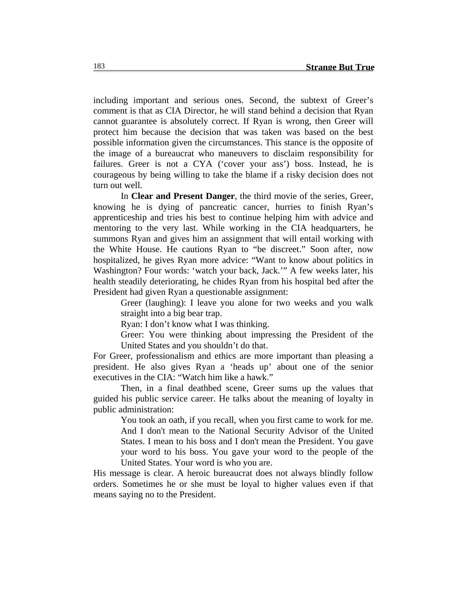including important and serious ones. Second, the subtext of Greer's comment is that as CIA Director, he will stand behind a decision that Ryan cannot guarantee is absolutely correct. If Ryan is wrong, then Greer will protect him because the decision that was taken was based on the best possible information given the circumstances. This stance is the opposite of the image of a bureaucrat who maneuvers to disclaim responsibility for failures. Greer is not a CYA ('cover your ass') boss. Instead, he is courageous by being willing to take the blame if a risky decision does not turn out well.

In **Clear and Present Danger**, the third movie of the series, Greer, knowing he is dying of pancreatic cancer, hurries to finish Ryan's apprenticeship and tries his best to continue helping him with advice and mentoring to the very last. While working in the CIA headquarters, he summons Ryan and gives him an assignment that will entail working with the White House. He cautions Ryan to "be discreet." Soon after, now hospitalized, he gives Ryan more advice: "Want to know about politics in Washington? Four words: 'watch your back, Jack.'" A few weeks later, his health steadily deteriorating, he chides Ryan from his hospital bed after the President had given Ryan a questionable assignment:

Greer (laughing): I leave you alone for two weeks and you walk straight into a big bear trap.

Ryan: I don't know what I was thinking.

Greer: You were thinking about impressing the President of the United States and you shouldn't do that.

For Greer, professionalism and ethics are more important than pleasing a president. He also gives Ryan a 'heads up' about one of the senior executives in the CIA: "Watch him like a hawk."

Then, in a final deathbed scene, Greer sums up the values that guided his public service career. He talks about the meaning of loyalty in public administration:

You took an oath, if you recall, when you first came to work for me. And I don't mean to the National Security Advisor of the United States. I mean to his boss and I don't mean the President. You gave your word to his boss. You gave your word to the people of the United States. Your word is who you are.

His message is clear. A heroic bureaucrat does not always blindly follow orders. Sometimes he or she must be loyal to higher values even if that means saying no to the President.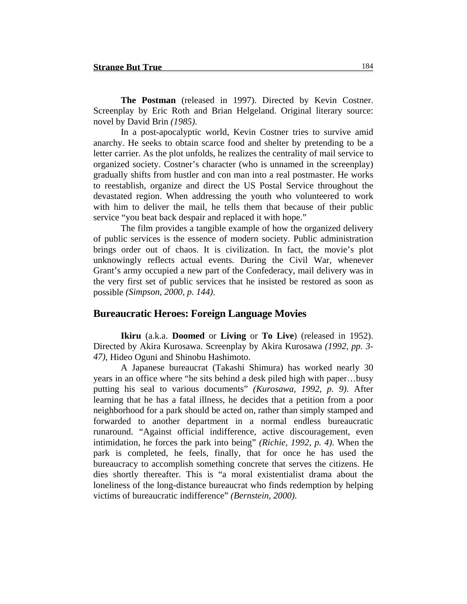**The Postman** (released in 1997). Directed by Kevin Costner. Screenplay by Eric Roth and Brian Helgeland. Original literary source: novel by David Brin *(1985)*.

In a post-apocalyptic world, Kevin Costner tries to survive amid anarchy. He seeks to obtain scarce food and shelter by pretending to be a letter carrier. As the plot unfolds, he realizes the centrality of mail service to organized society. Costner's character (who is unnamed in the screenplay) gradually shifts from hustler and con man into a real postmaster. He works to reestablish, organize and direct the US Postal Service throughout the devastated region. When addressing the youth who volunteered to work with him to deliver the mail, he tells them that because of their public service "you beat back despair and replaced it with hope."

The film provides a tangible example of how the organized delivery of public services is the essence of modern society. Public administration brings order out of chaos. It is civilization. In fact, the movie's plot unknowingly reflects actual events. During the Civil War, whenever Grant's army occupied a new part of the Confederacy, mail delivery was in the very first set of public services that he insisted be restored as soon as possible *(Simpson, 2000, p. 144)*.

#### **Bureaucratic Heroes: Foreign Language Movies**

**Ikiru** (a.k.a. **Doomed** or **Living** or **To Live**) (released in 1952). Directed by Akira Kurosawa. Screenplay by Akira Kurosawa *(1992, pp. 3- 47)*, Hideo Oguni and Shinobu Hashimoto.

A Japanese bureaucrat (Takashi Shimura) has worked nearly 30 years in an office where "he sits behind a desk piled high with paper…busy putting his seal to various documents" *(Kurosawa, 1992, p. 9)*. After learning that he has a fatal illness, he decides that a petition from a poor neighborhood for a park should be acted on, rather than simply stamped and forwarded to another department in a normal endless bureaucratic runaround. "Against official indifference, active discouragement, even intimidation, he forces the park into being" *(Richie, 1992, p. 4)*. When the park is completed, he feels, finally, that for once he has used the bureaucracy to accomplish something concrete that serves the citizens. He dies shortly thereafter. This is "a moral existentialist drama about the loneliness of the long-distance bureaucrat who finds redemption by helping victims of bureaucratic indifference" *(Bernstein, 2000)*.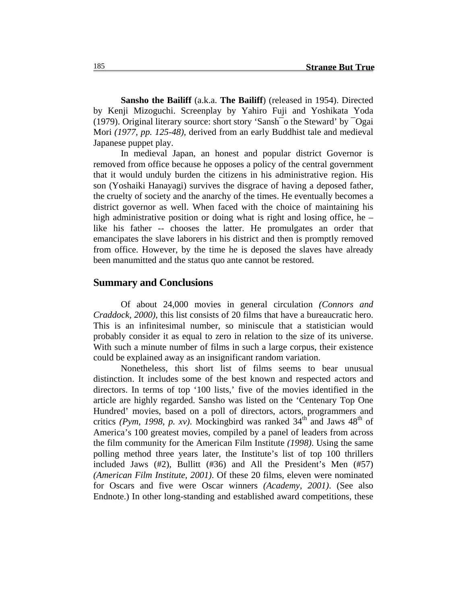**Sansho the Bailiff** (a.k.a. **The Bailiff**) (released in 1954). Directed by Kenji Mizoguchi. Screenplay by Yahiro Fuji and Yoshikata Yoda (1979). Original literary source: short story 'Sansh¯o the Steward' by ¯Ogai Mori *(1977, pp. 125-48)*, derived from an early Buddhist tale and medieval Japanese puppet play.

In medieval Japan, an honest and popular district Governor is removed from office because he opposes a policy of the central government that it would unduly burden the citizens in his administrative region. His son (Yoshaiki Hanayagi) survives the disgrace of having a deposed father, the cruelty of society and the anarchy of the times. He eventually becomes a district governor as well. When faced with the choice of maintaining his high administrative position or doing what is right and losing office, he – like his father -- chooses the latter. He promulgates an order that emancipates the slave laborers in his district and then is promptly removed from office. However, by the time he is deposed the slaves have already been manumitted and the status quo ante cannot be restored.

## **Summary and Conclusions**

Of about 24,000 movies in general circulation *(Connors and Craddock, 2000)*, this list consists of 20 films that have a bureaucratic hero. This is an infinitesimal number, so miniscule that a statistician would probably consider it as equal to zero in relation to the size of its universe. With such a minute number of films in such a large corpus, their existence could be explained away as an insignificant random variation.

Nonetheless, this short list of films seems to bear unusual distinction. It includes some of the best known and respected actors and directors. In terms of top '100 lists,' five of the movies identified in the article are highly regarded. Sansho was listed on the 'Centenary Top One Hundred' movies, based on a poll of directors, actors, programmers and critics (Pym, 1998, p. xv). Mockingbird was ranked  $34<sup>th</sup>$  and Jaws  $48<sup>th</sup>$  of America's 100 greatest movies, compiled by a panel of leaders from across the film community for the American Film Institute *(1998)*. Using the same polling method three years later, the Institute's list of top 100 thrillers included Jaws (#2), Bullitt (#36) and All the President's Men (#57) *(American Film Institute, 2001)*. Of these 20 films, eleven were nominated for Oscars and five were Oscar winners *(Academy, 2001)*. (See also Endnote.) In other long-standing and established award competitions, these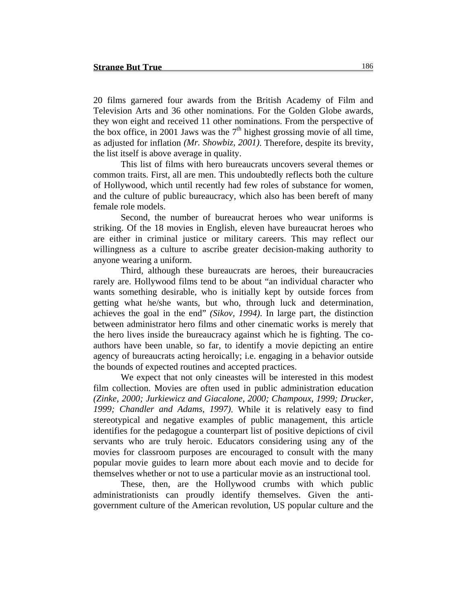20 films garnered four awards from the British Academy of Film and Television Arts and 36 other nominations. For the Golden Globe awards, they won eight and received 11 other nominations. From the perspective of the box office, in 2001 Jaws was the  $7<sup>th</sup>$  highest grossing movie of all time, as adjusted for inflation *(Mr. Showbiz, 2001)*. Therefore, despite its brevity, the list itself is above average in quality.

This list of films with hero bureaucrats uncovers several themes or common traits. First, all are men. This undoubtedly reflects both the culture of Hollywood, which until recently had few roles of substance for women, and the culture of public bureaucracy, which also has been bereft of many female role models.

Second, the number of bureaucrat heroes who wear uniforms is striking. Of the 18 movies in English, eleven have bureaucrat heroes who are either in criminal justice or military careers. This may reflect our willingness as a culture to ascribe greater decision-making authority to anyone wearing a uniform.

Third, although these bureaucrats are heroes, their bureaucracies rarely are. Hollywood films tend to be about "an individual character who wants something desirable, who is initially kept by outside forces from getting what he/she wants, but who, through luck and determination, achieves the goal in the end" *(Sikov, 1994)*. In large part, the distinction between administrator hero films and other cinematic works is merely that the hero lives inside the bureaucracy against which he is fighting. The coauthors have been unable, so far, to identify a movie depicting an entire agency of bureaucrats acting heroically; i.e. engaging in a behavior outside the bounds of expected routines and accepted practices.

We expect that not only cineastes will be interested in this modest film collection. Movies are often used in public administration education *(Zinke, 2000; Jurkiewicz and Giacalone, 2000; Champoux, 1999; Drucker, 1999; Chandler and Adams, 1997)*. While it is relatively easy to find stereotypical and negative examples of public management, this article identifies for the pedagogue a counterpart list of positive depictions of civil servants who are truly heroic. Educators considering using any of the movies for classroom purposes are encouraged to consult with the many popular movie guides to learn more about each movie and to decide for themselves whether or not to use a particular movie as an instructional tool.

These, then, are the Hollywood crumbs with which public administrationists can proudly identify themselves. Given the antigovernment culture of the American revolution, US popular culture and the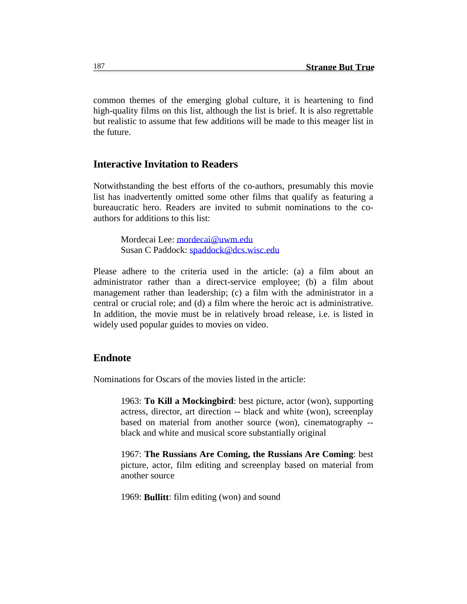common themes of the emerging global culture, it is heartening to find high-quality films on this list, although the list is brief. It is also regrettable but realistic to assume that few additions will be made to this meager list in the future.

## **Interactive Invitation to Readers**

Notwithstanding the best efforts of the co-authors, presumably this movie list has inadvertently omitted some other films that qualify as featuring a bureaucratic hero. Readers are invited to submit nominations to the coauthors for additions to this list:

Mordecai Lee: mordecai@uwm.edu Susan C Paddock: spaddock@dcs.wisc.edu

Please adhere to the criteria used in the article: (a) a film about an administrator rather than a direct-service employee; (b) a film about management rather than leadership; (c) a film with the administrator in a central or crucial role; and (d) a film where the heroic act is administrative. In addition, the movie must be in relatively broad release, i.e. is listed in widely used popular guides to movies on video.

# **Endnote**

Nominations for Oscars of the movies listed in the article:

1963: **To Kill a Mockingbird**: best picture, actor (won), supporting actress, director, art direction -- black and white (won), screenplay based on material from another source (won), cinematography - black and white and musical score substantially original

1967: **The Russians Are Coming, the Russians Are Coming**: best picture, actor, film editing and screenplay based on material from another source

1969: **Bullitt**: film editing (won) and sound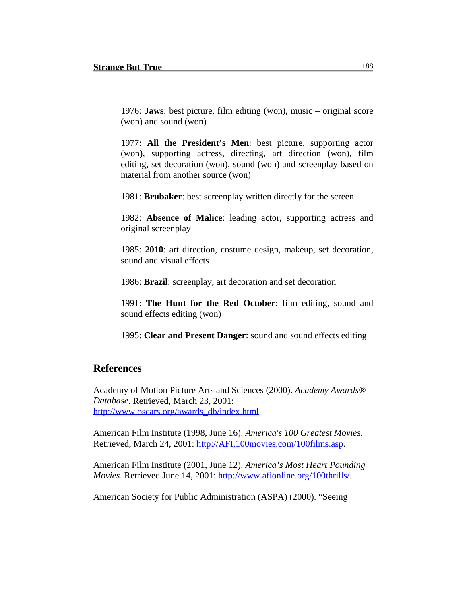1976: **Jaws**: best picture, film editing (won), music – original score (won) and sound (won)

1977: **All the President's Men**: best picture, supporting actor (won), supporting actress, directing, art direction (won), film editing, set decoration (won), sound (won) and screenplay based on material from another source (won)

1981: **Brubaker**: best screenplay written directly for the screen.

1982: **Absence of Malice**: leading actor, supporting actress and original screenplay

1985: **2010**: art direction, costume design, makeup, set decoration, sound and visual effects

1986: **Brazil**: screenplay, art decoration and set decoration

1991: **The Hunt for the Red October**: film editing, sound and sound effects editing (won)

1995: **Clear and Present Danger**: sound and sound effects editing

## **References**

Academy of Motion Picture Arts and Sciences (2000). *Academy Awards® Database*. Retrieved, March 23, 2001: http://www.oscars.org/awards\_db/index.html.

American Film Institute (1998, June 16). *America's 100 Greatest Movies*. Retrieved, March 24, 2001: http://AFI.100movies.com/100films.asp.

American Film Institute (2001, June 12). *America's Most Heart Pounding Movies*. Retrieved June 14, 2001: http://www.afionline.org/100thrills/.

American Society for Public Administration (ASPA) (2000). "Seeing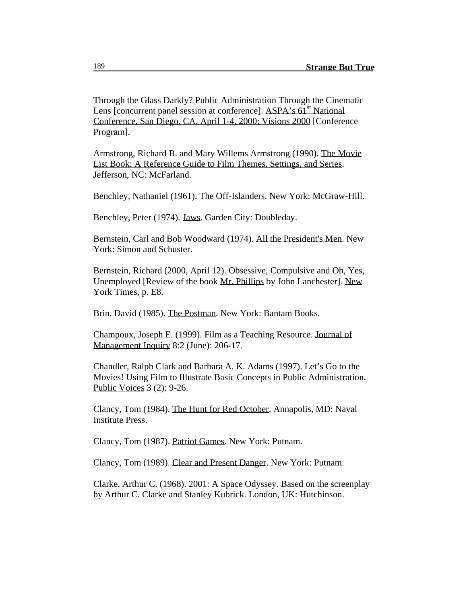Through the Glass Darkly? Public Administration Through the Cinematic Lens [concurrent panel session at conference]. ASPA's 61<sup>st</sup> National Conference, San Diego, CA, April 1-4, 2000; Visions 2000 [Conference Program].

Armstrong, Richard B. and Mary Willems Armstrong (1990). The Movie List Book: A Reference Guide to Film Themes, Settings, and Series. Jefferson, NC: McFarland.

Benchley, Nathaniel (1961). The Off-Islanders. New York: McGraw-Hill.

Benchley, Peter (1974). Jaws. Garden City: Doubleday.

Bernstein, Carl and Bob Woodward (1974). All the President's Men. New York: Simon and Schuster.

Bernstein, Richard (2000, April 12). Obsessive, Compulsive and Oh, Yes, Unemployed [Review of the book Mr. Phillips by John Lanchester]. New York Times, p. E8.

Brin, David (1985). The Postman. New York: Bantam Books.

Champoux, Joseph E. (1999). Film as a Teaching Resource. Journal of Management Inquiry 8:2 (June): 206-17.

Chandler, Ralph Clark and Barbara A. K. Adams (1997). Let's Go to the Movies! Using Film to Illustrate Basic Concepts in Public Administration. Public Voices 3 (2): 9-26.

Clancy, Tom (1984). The Hunt for Red October. Annapolis, MD: Naval Institute Press.

Clancy, Tom (1987). Patriot Games. New York: Putnam.

Clancy, Tom (1989). Clear and Present Danger. New York: Putnam.

Clarke, Arthur C. (1968). 2001: A Space Odyssey. Based on the screenplay by Arthur C. Clarke and Stanley Kubrick. London, UK: Hutchinson.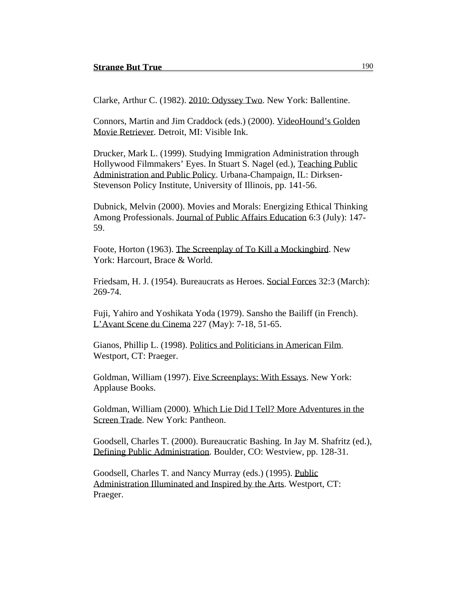Clarke, Arthur C. (1982). 2010: Odyssey Two. New York: Ballentine.

Connors, Martin and Jim Craddock (eds.) (2000). VideoHound's Golden Movie Retriever. Detroit, MI: Visible Ink.

Drucker, Mark L. (1999). Studying Immigration Administration through Hollywood Filmmakers' Eyes. In Stuart S. Nagel (ed.), Teaching Public Administration and Public Policy. Urbana-Champaign, IL: Dirksen-Stevenson Policy Institute, University of Illinois, pp. 141-56.

Dubnick, Melvin (2000). Movies and Morals: Energizing Ethical Thinking Among Professionals. Journal of Public Affairs Education 6:3 (July): 147- 59.

Foote, Horton (1963). The Screenplay of To Kill a Mockingbird. New York: Harcourt, Brace & World.

Friedsam, H. J. (1954). Bureaucrats as Heroes. Social Forces 32:3 (March): 269-74.

Fuji, Yahiro and Yoshikata Yoda (1979). Sansho the Bailiff (in French). L'Avant Scene du Cinema 227 (May): 7-18, 51-65.

Gianos, Phillip L. (1998). Politics and Politicians in American Film. Westport, CT: Praeger.

Goldman, William (1997). Five Screenplays: With Essays. New York: Applause Books.

Goldman, William (2000). Which Lie Did I Tell? More Adventures in the Screen Trade. New York: Pantheon.

Goodsell, Charles T. (2000). Bureaucratic Bashing. In Jay M. Shafritz (ed.), Defining Public Administration. Boulder, CO: Westview, pp. 128-31.

Goodsell, Charles T. and Nancy Murray (eds.) (1995). Public Administration Illuminated and Inspired by the Arts. Westport, CT: Praeger.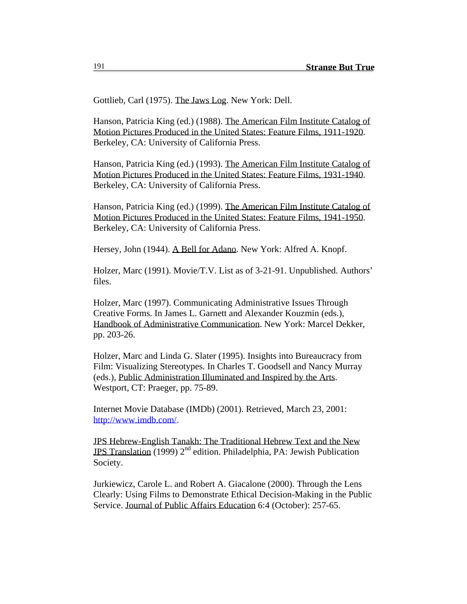Gottlieb, Carl (1975). The Jaws Log. New York: Dell.

Hanson, Patricia King (ed.) (1988). The American Film Institute Catalog of Motion Pictures Produced in the United States: Feature Films, 1911-1920. Berkeley, CA: University of California Press.

Hanson, Patricia King (ed.) (1993). The American Film Institute Catalog of Motion Pictures Produced in the United States: Feature Films, 1931-1940. Berkeley, CA: University of California Press.

Hanson, Patricia King (ed.) (1999). The American Film Institute Catalog of Motion Pictures Produced in the United States: Feature Films, 1941-1950. Berkeley, CA: University of California Press.

Hersey, John (1944). A Bell for Adano. New York: Alfred A. Knopf.

Holzer, Marc (1991). Movie/T.V. List as of 3-21-91. Unpublished. Authors' files.

Holzer, Marc (1997). Communicating Administrative Issues Through Creative Forms. In James L. Garnett and Alexander Kouzmin (eds.), Handbook of Administrative Communication. New York: Marcel Dekker, pp. 203-26.

Holzer, Marc and Linda G. Slater (1995). Insights into Bureaucracy from Film: Visualizing Stereotypes. In Charles T. Goodsell and Nancy Murray (eds.), Public Administration Illuminated and Inspired by the Arts. Westport, CT: Praeger, pp. 75-89.

Internet Movie Database (IMDb) (2001). Retrieved, March 23, 2001: http://www.imdb.com/.

JPS Hebrew-English Tanakh: The Traditional Hebrew Text and the New JPS Translation (1999)  $2^{nd}$  edition. Philadelphia, PA: Jewish Publication Society.

Jurkiewicz, Carole L. and Robert A. Giacalone (2000). Through the Lens Clearly: Using Films to Demonstrate Ethical Decision-Making in the Public Service. Journal of Public Affairs Education 6:4 (October): 257-65.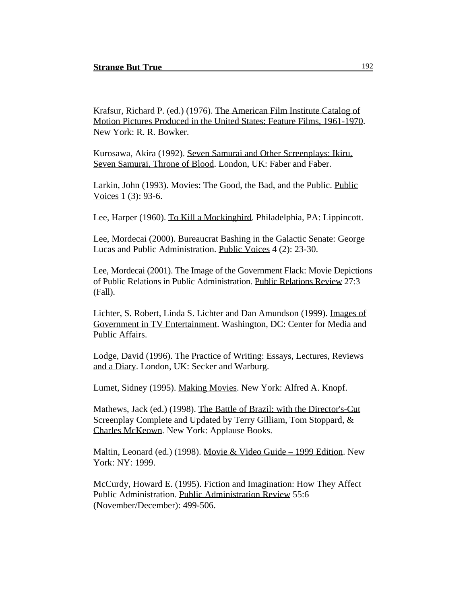Krafsur, Richard P. (ed.) (1976). The American Film Institute Catalog of Motion Pictures Produced in the United States: Feature Films, 1961-1970. New York: R. R. Bowker.

Kurosawa, Akira (1992). Seven Samurai and Other Screenplays: Ikiru, Seven Samurai, Throne of Blood. London, UK: Faber and Faber.

Larkin, John (1993). Movies: The Good, the Bad, and the Public. Public Voices 1 (3): 93-6.

Lee, Harper (1960). To Kill a Mockingbird. Philadelphia, PA: Lippincott.

Lee, Mordecai (2000). Bureaucrat Bashing in the Galactic Senate: George Lucas and Public Administration. Public Voices 4 (2): 23-30.

Lee, Mordecai (2001). The Image of the Government Flack: Movie Depictions of Public Relations in Public Administration. Public Relations Review 27:3 (Fall).

Lichter, S. Robert, Linda S. Lichter and Dan Amundson (1999). Images of Government in TV Entertainment. Washington, DC: Center for Media and Public Affairs.

Lodge, David (1996). The Practice of Writing: Essays, Lectures, Reviews and a Diary. London, UK: Secker and Warburg.

Lumet, Sidney (1995). Making Movies. New York: Alfred A. Knopf.

Mathews, Jack (ed.) (1998). The Battle of Brazil: with the Director's-Cut Screenplay Complete and Updated by Terry Gilliam, Tom Stoppard, & Charles McKeown. New York: Applause Books.

Maltin, Leonard (ed.) (1998). Movie & Video Guide – 1999 Edition. New York: NY: 1999.

McCurdy, Howard E. (1995). Fiction and Imagination: How They Affect Public Administration. Public Administration Review 55:6 (November/December): 499-506.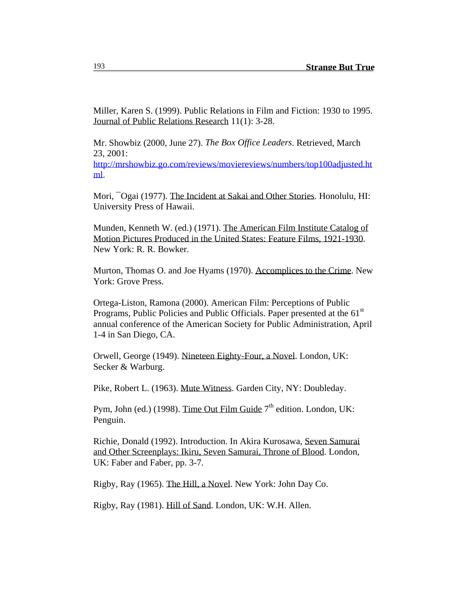Miller, Karen S. (1999). Public Relations in Film and Fiction: 1930 to 1995. Journal of Public Relations Research 11(1): 3-28.

Mr. Showbiz (2000, June 27). *The Box Office Leaders*. Retrieved, March 23, 2001:

http://mrshowbiz.go.com/reviews/moviereviews/numbers/top100adjusted.ht ml.

Mori, <sup>-</sup>Ogai (1977). The Incident at Sakai and Other Stories. Honolulu, HI: University Press of Hawaii.

Munden, Kenneth W. (ed.) (1971). The American Film Institute Catalog of Motion Pictures Produced in the United States: Feature Films, 1921-1930. New York: R. R. Bowker.

Murton, Thomas O. and Joe Hyams (1970). Accomplices to the Crime. New York: Grove Press.

Ortega-Liston, Ramona (2000). American Film: Perceptions of Public Programs, Public Policies and Public Officials. Paper presented at the 61<sup>st</sup> annual conference of the American Society for Public Administration, April 1-4 in San Diego, CA.

Orwell, George (1949). Nineteen Eighty-Four, a Novel. London, UK: Secker & Warburg.

Pike, Robert L. (1963). Mute Witness. Garden City, NY: Doubleday.

Pym, John (ed.) (1998). Time Out Film Guide  $7<sup>th</sup>$  edition. London, UK: Penguin.

Richie, Donald (1992). Introduction. In Akira Kurosawa, Seven Samurai and Other Screenplays: Ikiru, Seven Samurai, Throne of Blood. London, UK: Faber and Faber, pp. 3-7.

Rigby, Ray (1965). The Hill, a Novel. New York: John Day Co.

Rigby, Ray (1981). Hill of Sand. London, UK: W.H. Allen.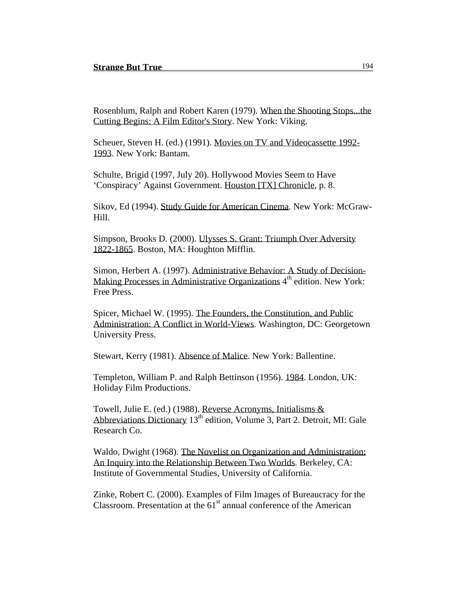Rosenblum, Ralph and Robert Karen (1979). When the Shooting Stops...the Cutting Begins: A Film Editor's Story. New York: Viking.

Scheuer, Steven H. (ed.) (1991). Movies on TV and Videocassette 1992- 1993. New York: Bantam.

Schulte, Brigid (1997, July 20). Hollywood Movies Seem to Have 'Conspiracy' Against Government. Houston [TX] Chronicle, p. 8.

Sikov, Ed (1994). Study Guide for American Cinema. New York: McGraw-Hill.

Simpson, Brooks D. (2000). Ulysses S. Grant: Triumph Over Adversity 1822-1865. Boston, MA: Houghton Mifflin.

Simon, Herbert A. (1997). Administrative Behavior: A Study of Decision-Making Processes in Administrative Organizations 4<sup>th</sup> edition. New York: Free Press.

Spicer, Michael W. (1995). The Founders, the Constitution, and Public Administration: A Conflict in World-Views. Washington, DC: Georgetown University Press.

Stewart, Kerry (1981). Absence of Malice. New York: Ballentine.

Templeton, William P. and Ralph Bettinson (1956). 1984. London, UK: Holiday Film Productions.

Towell, Julie E. (ed.) (1988). Reverse Acronyms, Initialisms & Abbreviations Dictionary  $13<sup>th</sup>$  edition, Volume 3, Part 2. Detroit, MI: Gale Research Co.

Waldo, Dwight (1968). The Novelist on Organization and Administration: An Inquiry into the Relationship Between Two Worlds. Berkeley, CA: Institute of Governmental Studies, University of California.

Zinke, Robert C. (2000). Examples of Film Images of Bureaucracy for the Classroom. Presentation at the  $61<sup>st</sup>$  annual conference of the American